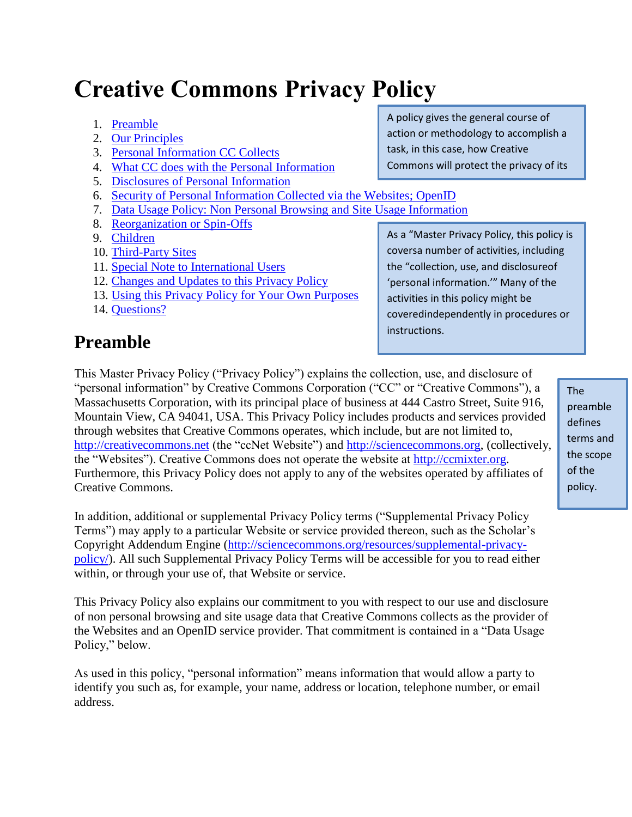# **Creative Commons Privacy Policy**

- 1. [Preamble](http://creativecommons.org/privacy#preamble)
- 2. [Our Principles](http://creativecommons.org/privacy#principles)
- 3. [Personal Information CC Collects](http://creativecommons.org/privacy#personalinfo)
- 4. [What CC does with the Personal Information](http://creativecommons.org/privacy#forwhat)
- 5. [Disclosures of Personal Information](http://creativecommons.org/privacy#disclosures)
- 6. [Security of Personal Information Collected via the Websites; OpenID](http://creativecommons.org/privacy#security) users.
- 7. [Data Usage Policy: Non Personal Browsing and Site Usage Information](http://creativecommons.org/privacy#datausage)
- 8. [Reorganization or Spin-Offs](http://creativecommons.org/privacy#spinoffs)
- 9. [Children](http://creativecommons.org/privacy#children)
- 10. [Third-Party Sites](http://creativecommons.org/privacy#3rdparties)
- 11. [Special Note to International Users](http://creativecommons.org/privacy#internationalusers)
- 12. [Changes and Updates to this Privacy Policy](http://creativecommons.org/privacy#changes)
- 13. [Using this Privacy Policy for Your Own Purposes](http://creativecommons.org/privacy#usingthispolicy)
- 14. [Questions?](http://creativecommons.org/privacy#questions)

### **Preamble**

A policy gives the general course of action or methodology to accomplish a task, in this case, how Creative Commons will protect the privacy of its

As a "Master Privacy Policy, this policy is coversa number of activities, including the "collection, use, and disclosureof 'personal information.'" Many of the activities in this policy might be coveredindependently in procedures or instructions.

This Master Privacy Policy ("Privacy Policy") explains the collection, use, and disclosure of "personal information" by Creative Commons Corporation ("CC" or "Creative Commons"), a Massachusetts Corporation, with its principal place of business at 444 Castro Street, Suite 916, Mountain View, CA 94041, USA. This Privacy Policy includes products and services provided through websites that Creative Commons operates, which include, but are not limited to, [http://creativecommons.net](http://creativecommons.net/) (the "ccNet Website") and [http://sciencecommons.org,](http://sciencecommons.org/) (collectively, the "Websites"). Creative Commons does not operate the website at [http://ccmixter.org.](http://ccmixter.org/) Furthermore, this Privacy Policy does not apply to any of the websites operated by affiliates of Creative Commons.

In addition, additional or supplemental Privacy Policy terms ("Supplemental Privacy Policy Terms") may apply to a particular Website or service provided thereon, such as the Scholar's Copyright Addendum Engine [\(http://sciencecommons.org/resources/supplemental-privacy](http://sciencecommons.org/resources/supplemental-privacy-policy/)[policy/\)](http://sciencecommons.org/resources/supplemental-privacy-policy/). All such Supplemental Privacy Policy Terms will be accessible for you to read either within, or through your use of, that Website or service.

This Privacy Policy also explains our commitment to you with respect to our use and disclosure of non personal browsing and site usage data that Creative Commons collects as the provider of the Websites and an OpenID service provider. That commitment is contained in a "Data Usage Policy," below.

As used in this policy, "personal information" means information that would allow a party to identify you such as, for example, your name, address or location, telephone number, or email address.

The preamble defines terms and the scope of the policy.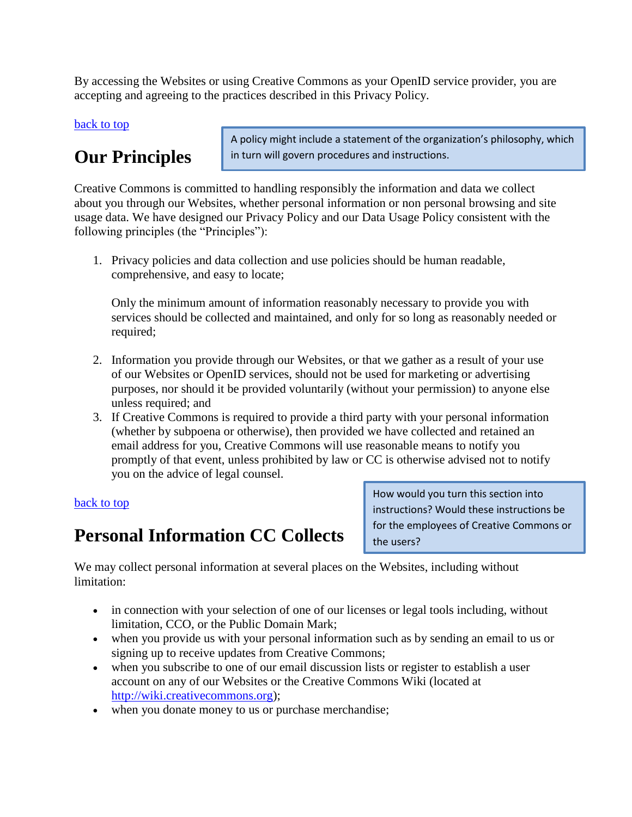By accessing the Websites or using Creative Commons as your OpenID service provider, you are accepting and agreeing to the practices described in this Privacy Policy.

#### [back to top](http://creativecommons.org/privacy)

## **Our Principles**

A policy might include a statement of the organization's philosophy, which in turn will govern procedures and instructions.

Creative Commons is committed to handling responsibly the information and data we collect about you through our Websites, whether personal information or non personal browsing and site usage data. We have designed our Privacy Policy and our Data Usage Policy consistent with the following principles (the "Principles"):

1. Privacy policies and data collection and use policies should be human readable, comprehensive, and easy to locate;

Only the minimum amount of information reasonably necessary to provide you with services should be collected and maintained, and only for so long as reasonably needed or required;

- 2. Information you provide through our Websites, or that we gather as a result of your use of our Websites or OpenID services, should not be used for marketing or advertising purposes, nor should it be provided voluntarily (without your permission) to anyone else unless required; and
- 3. If Creative Commons is required to provide a third party with your personal information (whether by subpoena or otherwise), then provided we have collected and retained an email address for you, Creative Commons will use reasonable means to notify you promptly of that event, unless prohibited by law or CC is otherwise advised not to notify you on the advice of legal counsel.

#### [back to top](http://creativecommons.org/privacy)

### **Personal Information CC Collects**

How would you turn this section into instructions? Would these instructions be for the employees of Creative Commons or the users?

We may collect personal information at several places on the Websites, including without limitation:

- in connection with your selection of one of our licenses or legal tools including, without limitation, CCO, or the Public Domain Mark;
- when you provide us with your personal information such as by sending an email to us or signing up to receive updates from Creative Commons;
- when you subscribe to one of our email discussion lists or register to establish a user account on any of our Websites or the Creative Commons Wiki (located at [http://wiki.creativecommons.org\)](http://wiki.creativecommons.org/);
- when you donate money to us or purchase merchandise;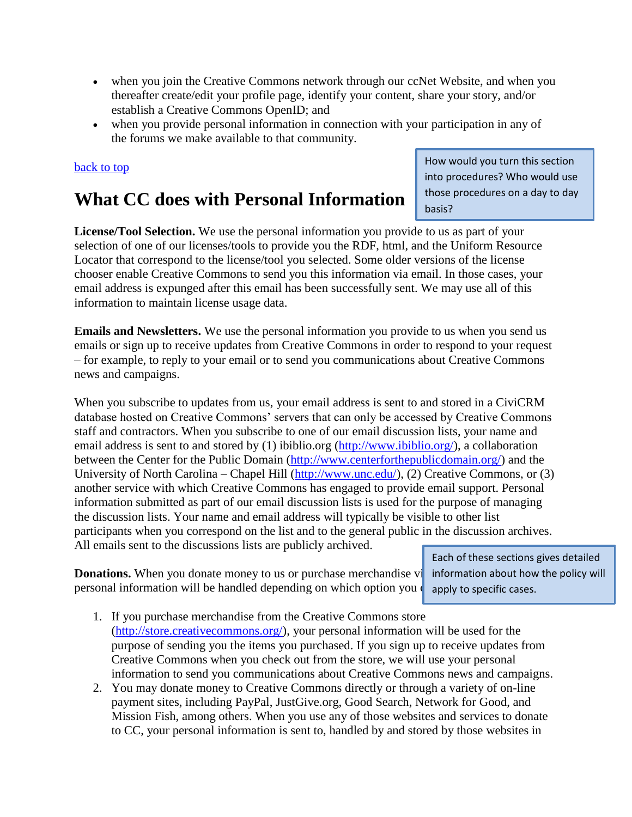- when you join the Creative Commons network through our ccNet Website, and when you thereafter create/edit your profile page, identify your content, share your story, and/or establish a Creative Commons OpenID; and
- when you provide personal information in connection with your participation in any of the forums we make available to that community.

#### [back to top](http://creativecommons.org/privacy)

### **What CC does with Personal Information**

How would you turn this section into procedures? Who would use those procedures on a day to day basis?

**License/Tool Selection.** We use the personal information you provide to us as part of your selection of one of our licenses/tools to provide you the RDF, html, and the Uniform Resource Locator that correspond to the license/tool you selected. Some older versions of the license chooser enable Creative Commons to send you this information via email. In those cases, your email address is expunged after this email has been successfully sent. We may use all of this information to maintain license usage data.

**Emails and Newsletters.** We use the personal information you provide to us when you send us emails or sign up to receive updates from Creative Commons in order to respond to your request – for example, to reply to your email or to send you communications about Creative Commons news and campaigns.

When you subscribe to updates from us, your email address is sent to and stored in a CiviCRM database hosted on Creative Commons' servers that can only be accessed by Creative Commons staff and contractors. When you subscribe to one of our email discussion lists, your name and email address is sent to and stored by (1) ibiblio.org [\(http://www.ibiblio.org/\)](http://www.ibiblio.org/), a collaboration between the Center for the Public Domain [\(http://www.centerforthepublicdomain.org/\)](http://www.centerforthepublicdomain.org/) and the University of North Carolina – Chapel Hill [\(http://www.unc.edu/\)](http://www.unc.edu/), (2) Creative Commons, or (3) another service with which Creative Commons has engaged to provide email support. Personal information submitted as part of our email discussion lists is used for the purpose of managing the discussion lists. Your name and email address will typically be visible to other list participants when you correspond on the list and to the general public in the discussion archives. All emails sent to the discussions lists are publicly archived.

**Donations.** When you donate money to us or purchase merchandise vi information about how the policy will personal information will be handled depending on which option you

Each of these sections gives detailed apply to specific cases.

- 1. If you purchase merchandise from the Creative Commons store [\(http://store.creativecommons.org/\)](http://store.creativecommons.org/), your personal information will be used for the purpose of sending you the items you purchased. If you sign up to receive updates from Creative Commons when you check out from the store, we will use your personal information to send you communications about Creative Commons news and campaigns.
- 2. You may donate money to Creative Commons directly or through a variety of on-line payment sites, including PayPal, JustGive.org, Good Search, Network for Good, and Mission Fish, among others. When you use any of those websites and services to donate to CC, your personal information is sent to, handled by and stored by those websites in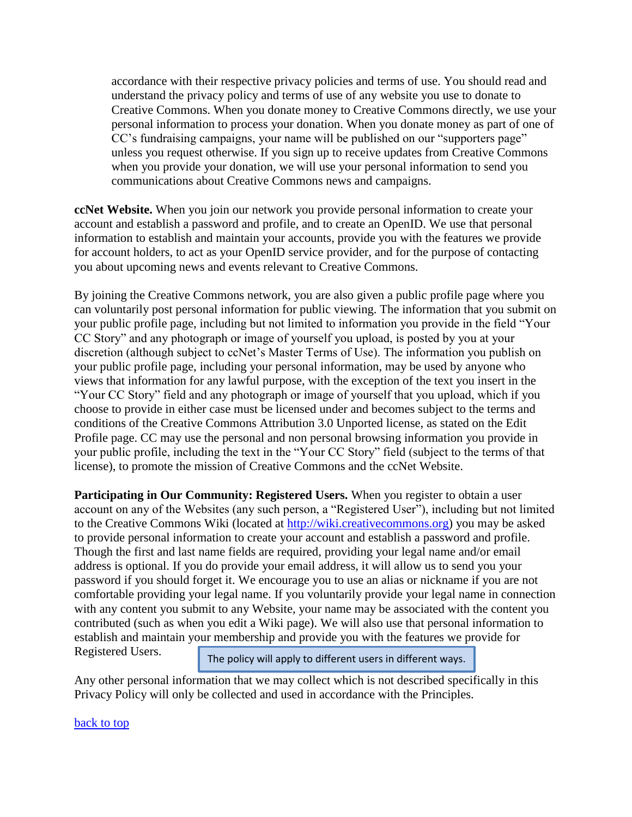accordance with their respective privacy policies and terms of use. You should read and understand the privacy policy and terms of use of any website you use to donate to Creative Commons. When you donate money to Creative Commons directly, we use your personal information to process your donation. When you donate money as part of one of CC's fundraising campaigns, your name will be published on our "supporters page" unless you request otherwise. If you sign up to receive updates from Creative Commons when you provide your donation, we will use your personal information to send you communications about Creative Commons news and campaigns.

**ccNet Website.** When you join our network you provide personal information to create your account and establish a password and profile, and to create an OpenID. We use that personal information to establish and maintain your accounts, provide you with the features we provide for account holders, to act as your OpenID service provider, and for the purpose of contacting you about upcoming news and events relevant to Creative Commons.

By joining the Creative Commons network, you are also given a public profile page where you can voluntarily post personal information for public viewing. The information that you submit on your public profile page, including but not limited to information you provide in the field "Your CC Story" and any photograph or image of yourself you upload, is posted by you at your discretion (although subject to ccNet's Master Terms of Use). The information you publish on your public profile page, including your personal information, may be used by anyone who views that information for any lawful purpose, with the exception of the text you insert in the "Your CC Story" field and any photograph or image of yourself that you upload, which if you choose to provide in either case must be licensed under and becomes subject to the terms and conditions of the Creative Commons Attribution 3.0 Unported license, as stated on the Edit Profile page. CC may use the personal and non personal browsing information you provide in your public profile, including the text in the "Your CC Story" field (subject to the terms of that license), to promote the mission of Creative Commons and the ccNet Website.

**Participating in Our Community: Registered Users.** When you register to obtain a user account on any of the Websites (any such person, a "Registered User"), including but not limited to the Creative Commons Wiki (located at [http://wiki.creativecommons.org\)](http://wiki.creativecommons.org/) you may be asked to provide personal information to create your account and establish a password and profile. Though the first and last name fields are required, providing your legal name and/or email address is optional. If you do provide your email address, it will allow us to send you your password if you should forget it. We encourage you to use an alias or nickname if you are not comfortable providing your legal name. If you voluntarily provide your legal name in connection with any content you submit to any Website, your name may be associated with the content you contributed (such as when you edit a Wiki page). We will also use that personal information to establish and maintain your membership and provide you with the features we provide for

Registered Users.

The policy will apply to different users in different ways.

Any other personal information that we may collect which is not described specifically in this Privacy Policy will only be collected and used in accordance with the Principles.

[back to top](http://creativecommons.org/privacy)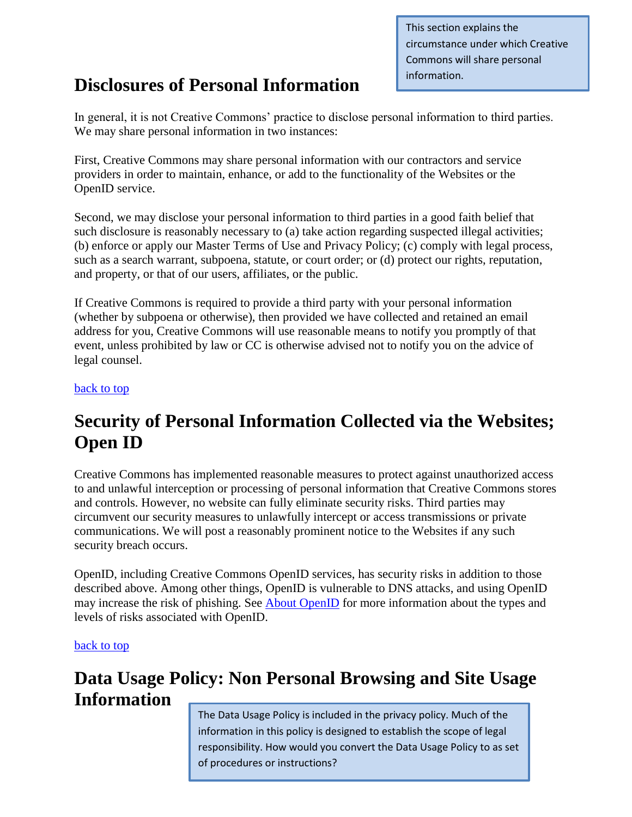This section explains the circumstance under which Creative Commons will share personal information.

### **Disclosures of Personal Information**

In general, it is not Creative Commons' practice to disclose personal information to third parties. We may share personal information in two instances:

First, Creative Commons may share personal information with our contractors and service providers in order to maintain, enhance, or add to the functionality of the Websites or the OpenID service.

Second, we may disclose your personal information to third parties in a good faith belief that such disclosure is reasonably necessary to (a) take action regarding suspected illegal activities; (b) enforce or apply our Master Terms of Use and Privacy Policy; (c) comply with legal process, such as a search warrant, subpoena, statute, or court order; or (d) protect our rights, reputation, and property, or that of our users, affiliates, or the public.

If Creative Commons is required to provide a third party with your personal information (whether by subpoena or otherwise), then provided we have collected and retained an email address for you, Creative Commons will use reasonable means to notify you promptly of that event, unless prohibited by law or CC is otherwise advised not to notify you on the advice of legal counsel.

#### [back to top](http://creativecommons.org/privacy)

### **Security of Personal Information Collected via the Websites; Open ID**

Creative Commons has implemented reasonable measures to protect against unauthorized access to and unlawful interception or processing of personal information that Creative Commons stores and controls. However, no website can fully eliminate security risks. Third parties may circumvent our security measures to unlawfully intercept or access transmissions or private communications. We will post a reasonably prominent notice to the Websites if any such security breach occurs.

OpenID, including Creative Commons OpenID services, has security risks in addition to those described above. Among other things, OpenID is vulnerable to DNS attacks, and using OpenID may increase the risk of phishing. See [About OpenID](https://creativecommons.net/h/openid/) for more information about the types and levels of risks associated with OpenID.

#### [back to top](http://creativecommons.org/privacy)

### **Data Usage Policy: Non Personal Browsing and Site Usage Information**

The Data Usage Policy is included in the privacy policy. Much of the information in this policy is designed to establish the scope of legal responsibility. How would you convert the Data Usage Policy to as set of procedures or instructions?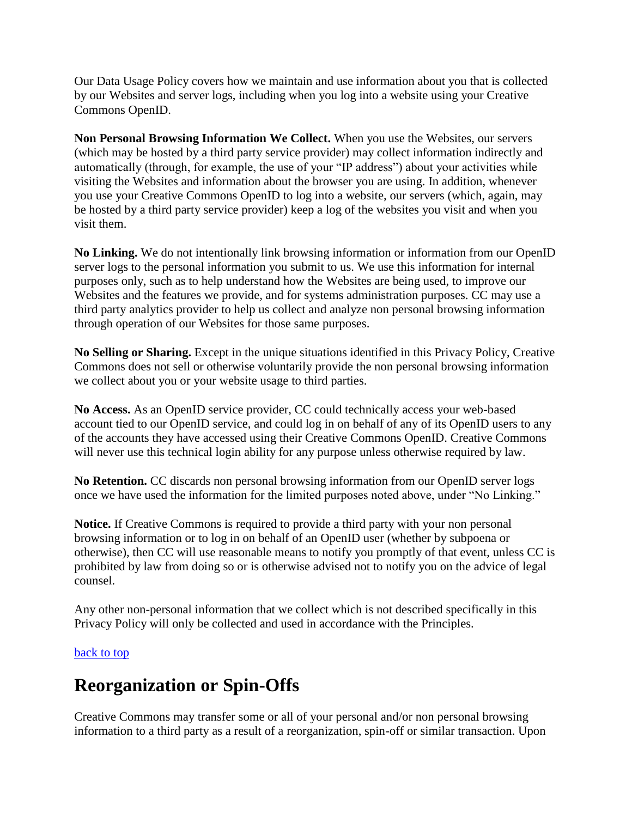Our Data Usage Policy covers how we maintain and use information about you that is collected by our Websites and server logs, including when you log into a website using your Creative Commons OpenID.

**Non Personal Browsing Information We Collect.** When you use the Websites, our servers (which may be hosted by a third party service provider) may collect information indirectly and automatically (through, for example, the use of your "IP address") about your activities while visiting the Websites and information about the browser you are using. In addition, whenever you use your Creative Commons OpenID to log into a website, our servers (which, again, may be hosted by a third party service provider) keep a log of the websites you visit and when you visit them.

**No Linking.** We do not intentionally link browsing information or information from our OpenID server logs to the personal information you submit to us. We use this information for internal purposes only, such as to help understand how the Websites are being used, to improve our Websites and the features we provide, and for systems administration purposes. CC may use a third party analytics provider to help us collect and analyze non personal browsing information through operation of our Websites for those same purposes.

**No Selling or Sharing.** Except in the unique situations identified in this Privacy Policy, Creative Commons does not sell or otherwise voluntarily provide the non personal browsing information we collect about you or your website usage to third parties.

**No Access.** As an OpenID service provider, CC could technically access your web-based account tied to our OpenID service, and could log in on behalf of any of its OpenID users to any of the accounts they have accessed using their Creative Commons OpenID. Creative Commons will never use this technical login ability for any purpose unless otherwise required by law.

**No Retention.** CC discards non personal browsing information from our OpenID server logs once we have used the information for the limited purposes noted above, under "No Linking."

**Notice.** If Creative Commons is required to provide a third party with your non personal browsing information or to log in on behalf of an OpenID user (whether by subpoena or otherwise), then CC will use reasonable means to notify you promptly of that event, unless CC is prohibited by law from doing so or is otherwise advised not to notify you on the advice of legal counsel.

Any other non-personal information that we collect which is not described specifically in this Privacy Policy will only be collected and used in accordance with the Principles.

#### [back to top](http://creativecommons.org/privacy)

### **Reorganization or Spin-Offs**

Creative Commons may transfer some or all of your personal and/or non personal browsing information to a third party as a result of a reorganization, spin-off or similar transaction. Upon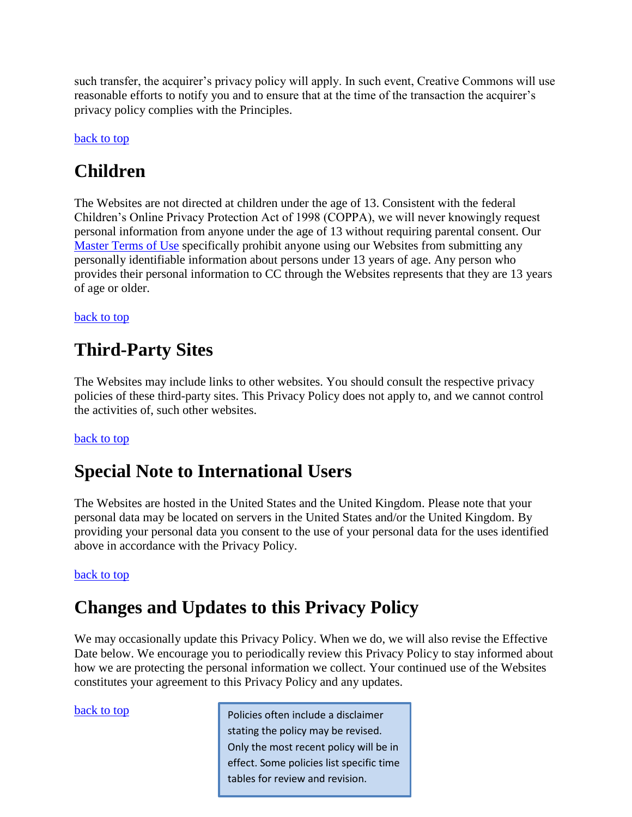such transfer, the acquirer's privacy policy will apply. In such event, Creative Commons will use reasonable efforts to notify you and to ensure that at the time of the transaction the acquirer's privacy policy complies with the Principles.

#### [back to top](http://creativecommons.org/privacy)

### **Children**

The Websites are not directed at children under the age of 13. Consistent with the federal Children's Online Privacy Protection Act of 1998 (COPPA), we will never knowingly request personal information from anyone under the age of 13 without requiring parental consent. Our [Master Terms of Use](http://creativecommons.org/terms) specifically prohibit anyone using our Websites from submitting any personally identifiable information about persons under 13 years of age. Any person who provides their personal information to CC through the Websites represents that they are 13 years of age or older.

[back to top](http://creativecommons.org/privacy)

### **Third-Party Sites**

The Websites may include links to other websites. You should consult the respective privacy policies of these third-party sites. This Privacy Policy does not apply to, and we cannot control the activities of, such other websites.

### [back to top](http://creativecommons.org/privacy)

### **Special Note to International Users**

The Websites are hosted in the United States and the United Kingdom. Please note that your personal data may be located on servers in the United States and/or the United Kingdom. By providing your personal data you consent to the use of your personal data for the uses identified above in accordance with the Privacy Policy.

#### [back to top](http://creativecommons.org/privacy)

### **Changes and Updates to this Privacy Policy**

We may occasionally update this Privacy Policy. When we do, we will also revise the Effective Date below. We encourage you to periodically review this Privacy Policy to stay informed about how we are protecting the personal information we collect. Your continued use of the Websites constitutes your agreement to this Privacy Policy and any updates.

**[back to top](http://creativecommons.org/privacy)** Policies often include a disclaimer stating the policy may be revised. Only the most recent policy will be in effect. Some policies list specific time tables for review and revision.